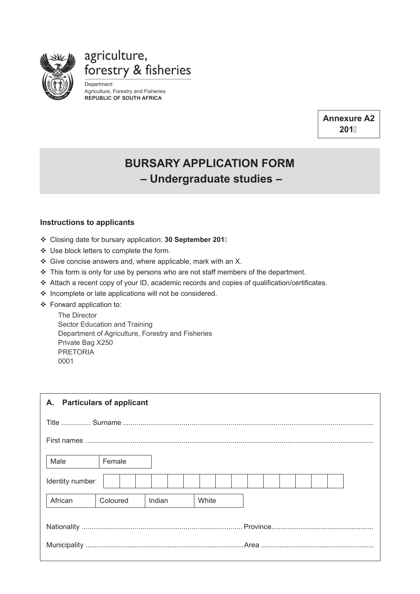

agriculture, forestry & fisheries

Department: Agriculture, Forestry and Fisheries **REPUBLIC OF SOUTH AFRICA**

> **Annexure A2 201**

## **Bursary application form – Undergraduate studies –**

## **Instructions to applicants**

- Closing date for bursary application: **30 September 201**
- Use block letters to complete the form.
- $\div$  Give concise answers and, where applicable, mark with an X.
- \* This form is only for use by persons who are not staff members of the department.
- Attach a recent copy of your ID, academic records and copies of qualification/certificates.
- ❖ Incomplete or late applications will not be considered.
- Forward application to:

The Director Sector Education and Training Department of Agriculture, Forestry and Fisheries Private Bag X250 PRETORIA 0001

| <b>Particulars of applicant</b><br>А. |          |        |       |  |  |  |  |  |
|---------------------------------------|----------|--------|-------|--|--|--|--|--|
|                                       |          |        |       |  |  |  |  |  |
|                                       |          |        |       |  |  |  |  |  |
| Male                                  | Female   |        |       |  |  |  |  |  |
| Identity number                       |          |        |       |  |  |  |  |  |
| African                               | Coloured | Indian | White |  |  |  |  |  |
|                                       |          |        |       |  |  |  |  |  |
|                                       |          |        |       |  |  |  |  |  |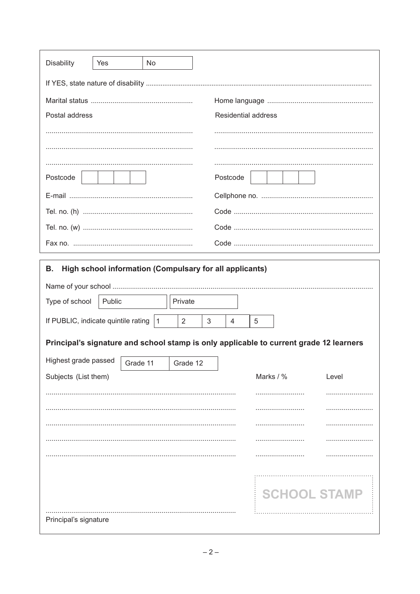| <b>Disability</b>                                                                      | Yes    | No.     |  |                            |   |           |                     |  |
|----------------------------------------------------------------------------------------|--------|---------|--|----------------------------|---|-----------|---------------------|--|
|                                                                                        |        |         |  |                            |   |           |                     |  |
|                                                                                        |        |         |  |                            |   |           |                     |  |
| Postal address                                                                         |        |         |  | <b>Residential address</b> |   |           |                     |  |
|                                                                                        |        |         |  |                            |   |           |                     |  |
|                                                                                        |        |         |  |                            |   |           |                     |  |
|                                                                                        |        |         |  |                            |   |           |                     |  |
| Postcode                                                                               |        |         |  | Postcode                   |   |           |                     |  |
|                                                                                        |        |         |  |                            |   |           |                     |  |
|                                                                                        |        |         |  |                            |   |           |                     |  |
|                                                                                        |        |         |  |                            |   |           |                     |  |
|                                                                                        |        |         |  |                            |   |           |                     |  |
| High school information (Compulsary for all applicants)<br>В.                          |        |         |  |                            |   |           |                     |  |
|                                                                                        |        |         |  |                            |   |           |                     |  |
| Type of school                                                                         | Public | Private |  |                            |   |           |                     |  |
| If PUBLIC, indicate quintile rating<br>$\mathbf{1}$<br>2                               |        |         |  | 4                          | 5 |           |                     |  |
| Principal's signature and school stamp is only applicable to current grade 12 learners |        |         |  |                            |   |           |                     |  |
| Highest grade passed<br>Grade 12                                                       |        |         |  |                            |   |           |                     |  |
| Grade 11<br>Subjects (List them)                                                       |        |         |  |                            |   | Marks / % | Level               |  |
|                                                                                        |        |         |  |                            |   |           | .                   |  |
|                                                                                        |        |         |  |                            |   |           | .                   |  |
|                                                                                        |        |         |  |                            |   |           |                     |  |
|                                                                                        |        |         |  |                            |   |           |                     |  |
|                                                                                        |        |         |  |                            |   |           |                     |  |
|                                                                                        |        |         |  |                            |   |           |                     |  |
|                                                                                        |        |         |  |                            |   |           | <b>SCHOOL STAMP</b> |  |
| Principal's signature                                                                  |        |         |  |                            |   |           |                     |  |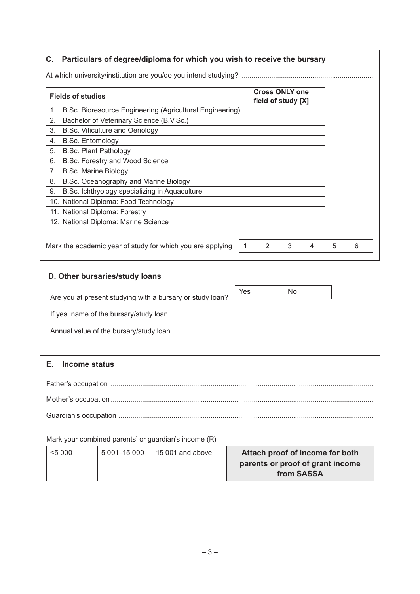| <b>Fields of studies</b>                                       |   |   | <b>Cross ONLY one</b><br>field of study [X] |   |   |   |
|----------------------------------------------------------------|---|---|---------------------------------------------|---|---|---|
| B.Sc. Bioresource Engineering (Agricultural Engineering)<br>1. |   |   |                                             |   |   |   |
| Bachelor of Veterinary Science (B.V.Sc.)<br>2.                 |   |   |                                             |   |   |   |
| B.Sc. Viticulture and Oenology<br>3.                           |   |   |                                             |   |   |   |
| <b>B.Sc. Entomology</b><br>4.                                  |   |   |                                             |   |   |   |
| <b>B.Sc. Plant Pathology</b><br>5.                             |   |   |                                             |   |   |   |
| B.Sc. Forestry and Wood Science<br>6.                          |   |   |                                             |   |   |   |
| <b>B.Sc. Marine Biology</b><br>7 <sub>1</sub>                  |   |   |                                             |   |   |   |
| B.Sc. Oceanography and Marine Biology<br>8.                    |   |   |                                             |   |   |   |
| B.Sc. Ichthyology specializing in Aquaculture<br>9.            |   |   |                                             |   |   |   |
| 10. National Diploma: Food Technology                          |   |   |                                             |   |   |   |
| 11. National Diploma: Forestry                                 |   |   |                                             |   |   |   |
| 12. National Diploma: Marine Science                           |   |   |                                             |   |   |   |
|                                                                |   |   |                                             |   |   |   |
| Mark the academic year of study for which you are applying     | 1 | 2 | 3                                           | 4 | 5 | 6 |

| D. Other bursaries/study loans                            |     |    |  |  |  |  |
|-----------------------------------------------------------|-----|----|--|--|--|--|
| Are you at present studying with a bursary or study loan? | Yes | No |  |  |  |  |
|                                                           |     |    |  |  |  |  |
|                                                           |     |    |  |  |  |  |

## **E. Income status**

|        |                | Mark your combined parents' or guardian's income (R) |                                                                                   |  |  |  |
|--------|----------------|------------------------------------------------------|-----------------------------------------------------------------------------------|--|--|--|
| < 5000 | $5001 - 15000$ | $15001$ and above                                    | Attach proof of income for both<br>parents or proof of grant income<br>from SASSA |  |  |  |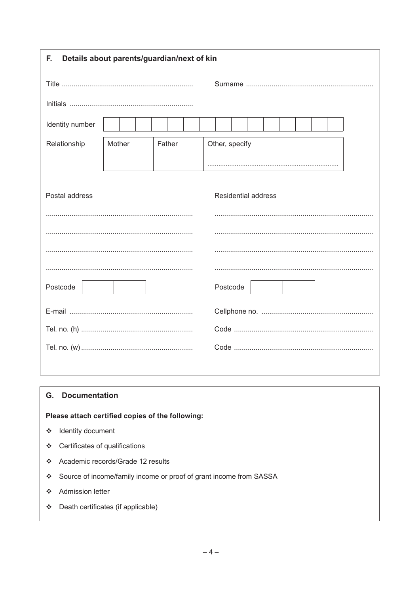| Details about parents/guardian/next of kin<br>F. |        |        |                            |  |  |  |  |
|--------------------------------------------------|--------|--------|----------------------------|--|--|--|--|
|                                                  |        |        |                            |  |  |  |  |
|                                                  |        |        |                            |  |  |  |  |
| Identity number                                  |        |        |                            |  |  |  |  |
| Relationship                                     | Mother | Father | Other, specify             |  |  |  |  |
|                                                  |        |        |                            |  |  |  |  |
| Postal address                                   |        |        | <b>Residential address</b> |  |  |  |  |
|                                                  |        |        |                            |  |  |  |  |
|                                                  |        |        |                            |  |  |  |  |
|                                                  |        |        |                            |  |  |  |  |
|                                                  |        |        |                            |  |  |  |  |
| Postcode                                         |        |        | Postcode                   |  |  |  |  |
|                                                  |        |        |                            |  |  |  |  |
|                                                  |        |        |                            |  |  |  |  |
|                                                  |        |        |                            |  |  |  |  |
|                                                  |        |        |                            |  |  |  |  |

 $\overline{\phantom{a}}$ 

## **G.** Documentation

Please attach certified copies of the following:

- ❖ Identity document
- ❖ Certificates of qualifications
- ❖ Academic records/Grade 12 results
- ❖ Source of income/family income or proof of grant income from SASSA
- ❖ Admission letter
- Death certificates (if applicable)